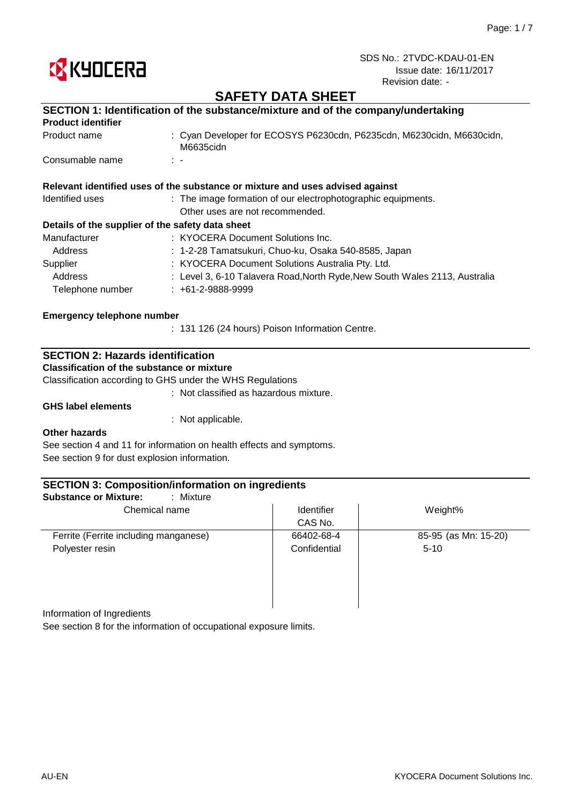

# **SAFETY DATA SHEET**

|                                                  | SECTION 1: Identification of the substance/mixture and of the company/undertaking  |
|--------------------------------------------------|------------------------------------------------------------------------------------|
| <b>Product identifier</b>                        |                                                                                    |
| Product name                                     | : Cyan Developer for ECOSYS P6230cdn, P6235cdn, M6230cidn, M6630cidn,<br>M6635cidn |
| Consumable name                                  | $\mathbb{R}^n$                                                                     |
|                                                  | Relevant identified uses of the substance or mixture and uses advised against      |
| Identified uses                                  | : The image formation of our electrophotographic equipments.                       |
|                                                  | Other uses are not recommended.                                                    |
| Details of the supplier of the safety data sheet |                                                                                    |
| Manufacturer                                     | : KYOCERA Document Solutions Inc.                                                  |
| Address                                          | : 1-2-28 Tamatsukuri, Chuo-ku, Osaka 540-8585, Japan                               |
| Supplier                                         | : KYOCERA Document Solutions Australia Pty. Ltd.                                   |
| Address                                          | : Level 3, 6-10 Talavera Road, North Ryde, New South Wales 2113, Australia         |
| Telephone number                                 | $: +61-2-9888-9999$                                                                |

### **Emergency telephone number**

: 131 126 (24 hours) Poison Information Centre.

### **SECTION 2: Hazards identification**

**Classification of the substance or mixture**

Classification according to GHS under the WHS Regulations

: Not classified as hazardous mixture.

### **GHS label elements**

: Not applicable.

#### **Other hazards**

See section 4 and 11 for information on health effects and symptoms. See section 9 for dust explosion information.

| <b>Identifier</b> | Weight%              |
|-------------------|----------------------|
| CAS No.           |                      |
| 66402-68-4        | 85-95 (as Mn: 15-20) |
| Confidential      | $5-10$               |
|                   |                      |
|                   |                      |
|                   |                      |
|                   |                      |

Information of Ingredients

See section 8 for the information of occupational exposure limits.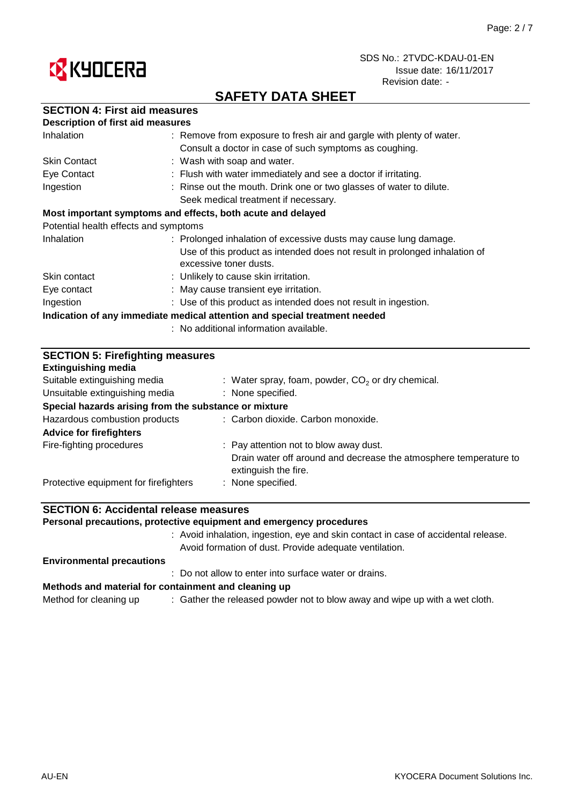

# **SAFETY DATA SHEET**

|  |  | <b>SECTION 4: First aid measures</b> |
|--|--|--------------------------------------|
|--|--|--------------------------------------|

| <b>Description of first aid measures</b> |                                                                                                      |
|------------------------------------------|------------------------------------------------------------------------------------------------------|
| Inhalation                               | : Remove from exposure to fresh air and gargle with plenty of water.                                 |
|                                          | Consult a doctor in case of such symptoms as coughing.                                               |
| <b>Skin Contact</b>                      | : Wash with soap and water.                                                                          |
| Eye Contact                              | : Flush with water immediately and see a doctor if irritating.                                       |
| Ingestion                                | : Rinse out the mouth. Drink one or two glasses of water to dilute.                                  |
|                                          | Seek medical treatment if necessary.                                                                 |
|                                          | Most important symptoms and effects, both acute and delayed                                          |
| Potential health effects and symptoms    |                                                                                                      |
| Inhalation                               | : Prolonged inhalation of excessive dusts may cause lung damage.                                     |
|                                          | Use of this product as intended does not result in prolonged inhalation of<br>excessive toner dusts. |
| Skin contact                             | : Unlikely to cause skin irritation.                                                                 |
| Eye contact                              | : May cause transient eye irritation.                                                                |
| Ingestion                                | : Use of this product as intended does not result in ingestion.                                      |
|                                          | Indication of any immediate medical attention and special treatment needed                           |
|                                          | : No additional information available.                                                               |

| <b>SECTION 5: Firefighting measures</b>               |                                                                                           |  |  |
|-------------------------------------------------------|-------------------------------------------------------------------------------------------|--|--|
| <b>Extinguishing media</b>                            |                                                                                           |  |  |
| Suitable extinguishing media                          | : Water spray, foam, powder, $CO2$ or dry chemical.                                       |  |  |
| Unsuitable extinguishing media                        | : None specified.                                                                         |  |  |
| Special hazards arising from the substance or mixture |                                                                                           |  |  |
| Hazardous combustion products                         | : Carbon dioxide. Carbon monoxide.                                                        |  |  |
| <b>Advice for firefighters</b>                        |                                                                                           |  |  |
| Fire-fighting procedures                              | : Pay attention not to blow away dust.                                                    |  |  |
|                                                       | Drain water off around and decrease the atmosphere temperature to<br>extinguish the fire. |  |  |
| Protective equipment for firefighters                 | : None specified.                                                                         |  |  |

## **SECTION 6: Accidental release measures**

**Personal precautions, protective equipment and emergency procedures**

: Avoid inhalation, ingestion, eye and skin contact in case of accidental release. Avoid formation of dust. Provide adequate ventilation.

#### **Environmental precautions**

: Do not allow to enter into surface water or drains.

#### **Methods and material for containment and cleaning up**

Method for cleaning up  $\qquad \qquad :$  Gather the released powder not to blow away and wipe up with a wet cloth.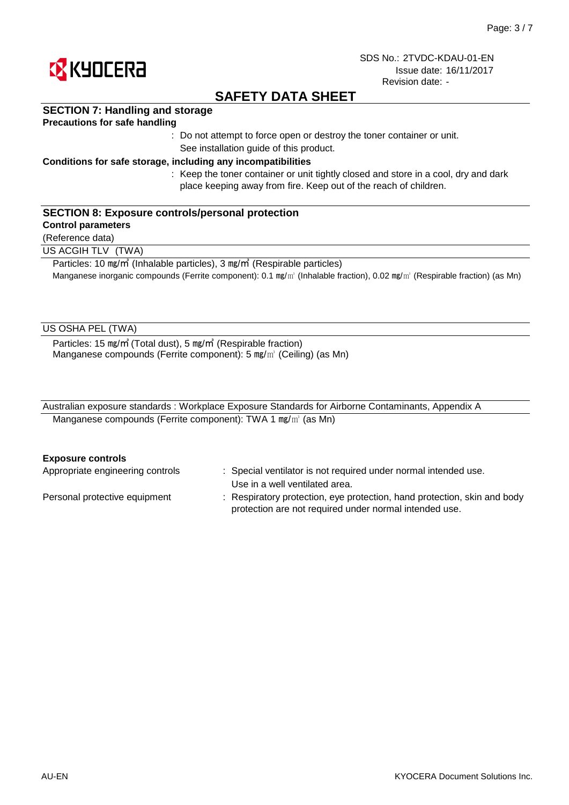

# **SAFETY DATA SHEET**

## **SECTION 7: Handling and storage**

### **Precautions for safe handling**

: Do not attempt to force open or destroy the toner container or unit. See installation guide of this product.

### **Conditions for safe storage, including any incompatibilities**

: Keep the toner container or unit tightly closed and store in a cool, dry and dark place keeping away from fire. Keep out of the reach of children.

### **SECTION 8: Exposure controls/personal protection**

### **Control parameters**

(Reference data)

US ACGIH TLV (TWA)

Particles: 10 ㎎/㎥ (Inhalable particles), 3 ㎎/㎥ (Respirable particles) Manganese inorganic compounds (Ferrite component): 0.1  $mg/m$  (Inhalable fraction), 0.02 mg/m<sup>3</sup> (Respirable fraction) (as Mn)

### US OSHA PEL (TWA)

Particles: 15 ㎎/㎥ (Total dust), 5 ㎎/㎥ (Respirable fraction) Manganese compounds (Ferrite component): 5 mg/m<sup>3</sup> (Ceiling) (as Mn)

| Australian exposure standards: Workplace Exposure Standards for Airborne Contaminants, Appendix A |  |
|---------------------------------------------------------------------------------------------------|--|
| Manganese compounds (Ferrite component): TWA 1 $mg/m3$ (as Mn)                                    |  |

#### **Exposure controls**

| Appropriate engineering controls | : Special ventilator is not required under normal intended use.          |
|----------------------------------|--------------------------------------------------------------------------|
|                                  | Use in a well ventilated area.                                           |
| Personal protective equipment    | : Respiratory protection, eye protection, hand protection, skin and body |
|                                  | protection are not required under normal intended use.                   |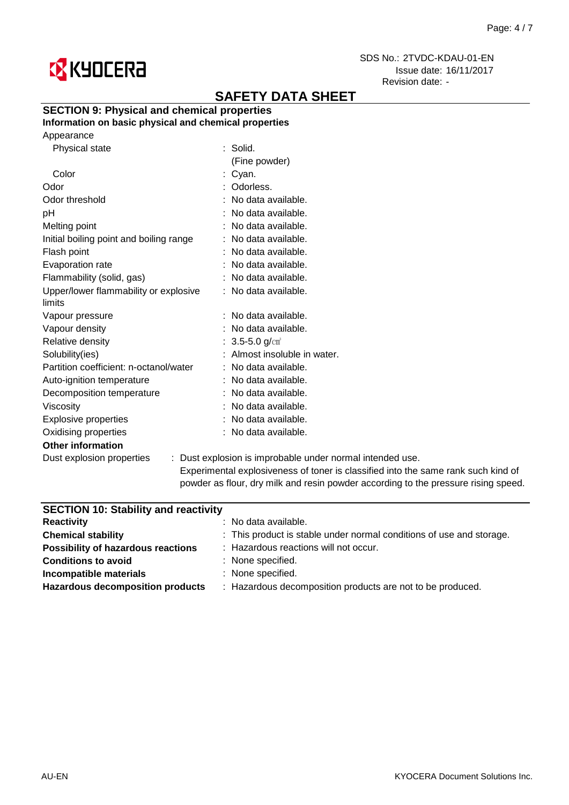

# **SAFETY DATA SHEET**

# **SECTION 9: Physical and chemical properties**

## **Information on basic physical and chemical properties**

Appearance

| <b>Physical state</b>                           | $:$ Solid.                                                |
|-------------------------------------------------|-----------------------------------------------------------|
|                                                 | (Fine powder)                                             |
| Color                                           | : Cyan.                                                   |
| Odor                                            | : Odorless.                                               |
| Odor threshold                                  | : No data available.                                      |
| pH                                              | : No data available.                                      |
| Melting point                                   | : No data available.                                      |
| Initial boiling point and boiling range         | : No data available.                                      |
| Flash point                                     | : No data available.                                      |
| Evaporation rate                                | : No data available.                                      |
| Flammability (solid, gas)                       | : No data available.                                      |
| Upper/lower flammability or explosive<br>limits | : No data available.                                      |
| Vapour pressure                                 | : No data available.                                      |
| Vapour density                                  | : No data available.                                      |
| Relative density                                | : $3.5 - 5.0$ g/cm <sup>3</sup>                           |
| Solubility(ies)                                 | : Almost insoluble in water.                              |
| Partition coefficient: n-octanol/water          | : No data available.                                      |
| Auto-ignition temperature                       | : No data available.                                      |
| Decomposition temperature                       | : No data available.                                      |
| <b>Viscosity</b>                                | : No data available.                                      |
| <b>Explosive properties</b>                     | : No data available.                                      |
| Oxidising properties                            | : No data available.                                      |
| <b>Other information</b>                        |                                                           |
| Dust explosion properties                       | : Dust explosion is improbable under normal intended use. |

Experimental explosiveness of toner is classified into the same rank such kind of powder as flour, dry milk and resin powder according to the pressure rising speed.

| $:$ No data available.                                               |
|----------------------------------------------------------------------|
| : This product is stable under normal conditions of use and storage. |
| : Hazardous reactions will not occur.                                |
| : None specified.                                                    |
| : None specified.                                                    |
| : Hazardous decomposition products are not to be produced.           |
|                                                                      |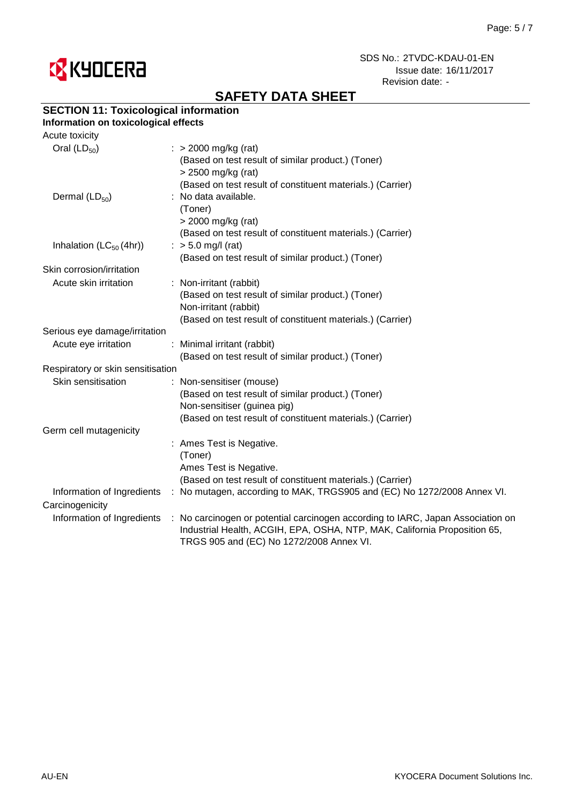

# **SAFETY DATA SHEET**

## **SECTION 11: Toxicological information**

#### **Information on toxicological effects** Acute toxicity

| Acute toxicity                    |                                                                                                                                                                                                          |
|-----------------------------------|----------------------------------------------------------------------------------------------------------------------------------------------------------------------------------------------------------|
| Oral $(LD_{50})$                  | $\therefore$ > 2000 mg/kg (rat)<br>(Based on test result of similar product.) (Toner)                                                                                                                    |
|                                   | > 2500 mg/kg (rat)                                                                                                                                                                                       |
|                                   | (Based on test result of constituent materials.) (Carrier)                                                                                                                                               |
| Dermal $(LD_{50})$                | : No data available.                                                                                                                                                                                     |
|                                   | (Toner)                                                                                                                                                                                                  |
|                                   | > 2000 mg/kg (rat)                                                                                                                                                                                       |
|                                   | (Based on test result of constituent materials.) (Carrier)                                                                                                                                               |
| Inhalation $(LC_{50}(4hr))$       | $:$ > 5.0 mg/l (rat)                                                                                                                                                                                     |
|                                   | (Based on test result of similar product.) (Toner)                                                                                                                                                       |
| Skin corrosion/irritation         |                                                                                                                                                                                                          |
| Acute skin irritation             | : Non-irritant (rabbit)                                                                                                                                                                                  |
|                                   |                                                                                                                                                                                                          |
|                                   | (Based on test result of similar product.) (Toner)                                                                                                                                                       |
|                                   | Non-irritant (rabbit)                                                                                                                                                                                    |
|                                   | (Based on test result of constituent materials.) (Carrier)                                                                                                                                               |
| Serious eye damage/irritation     |                                                                                                                                                                                                          |
| Acute eye irritation              | : Minimal irritant (rabbit)                                                                                                                                                                              |
|                                   | (Based on test result of similar product.) (Toner)                                                                                                                                                       |
| Respiratory or skin sensitisation |                                                                                                                                                                                                          |
| Skin sensitisation                | : Non-sensitiser (mouse)                                                                                                                                                                                 |
|                                   | (Based on test result of similar product.) (Toner)                                                                                                                                                       |
|                                   | Non-sensitiser (guinea pig)                                                                                                                                                                              |
|                                   | (Based on test result of constituent materials.) (Carrier)                                                                                                                                               |
| Germ cell mutagenicity            |                                                                                                                                                                                                          |
|                                   | : Ames Test is Negative.                                                                                                                                                                                 |
|                                   | (Toner)                                                                                                                                                                                                  |
|                                   | Ames Test is Negative.                                                                                                                                                                                   |
|                                   | (Based on test result of constituent materials.) (Carrier)                                                                                                                                               |
| Information of Ingredients        | : No mutagen, according to MAK, TRGS905 and (EC) No 1272/2008 Annex VI.                                                                                                                                  |
| Carcinogenicity                   |                                                                                                                                                                                                          |
| Information of Ingredients        | : No carcinogen or potential carcinogen according to IARC, Japan Association on<br>Industrial Health, ACGIH, EPA, OSHA, NTP, MAK, California Proposition 65,<br>TRGS 905 and (EC) No 1272/2008 Annex VI. |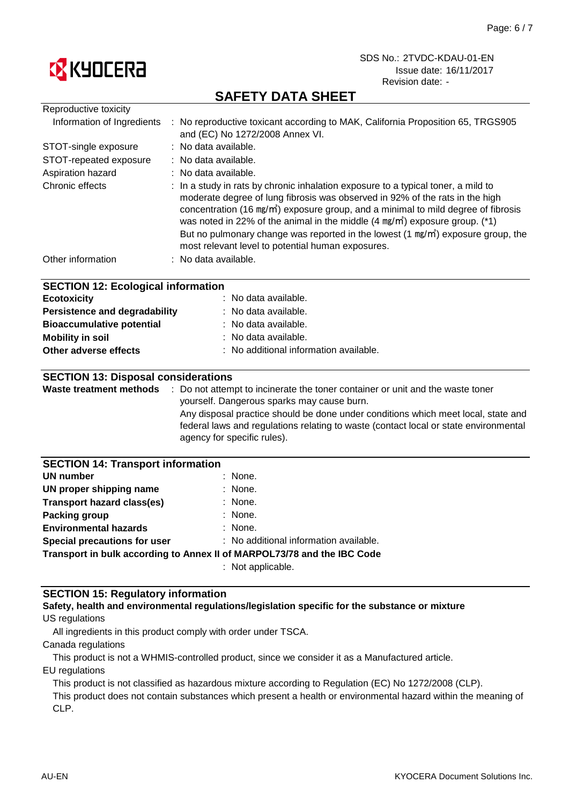

# **SAFETY DATA SHEET**

| Reproductive toxicity                                                                                                                                                                           |                                                                                                                                                                                                                                                                                                                                                                                                                                                                                                                   |
|-------------------------------------------------------------------------------------------------------------------------------------------------------------------------------------------------|-------------------------------------------------------------------------------------------------------------------------------------------------------------------------------------------------------------------------------------------------------------------------------------------------------------------------------------------------------------------------------------------------------------------------------------------------------------------------------------------------------------------|
| Information of Ingredients                                                                                                                                                                      | : No reproductive toxicant according to MAK, California Proposition 65, TRGS905<br>and (EC) No 1272/2008 Annex VI.                                                                                                                                                                                                                                                                                                                                                                                                |
| STOT-single exposure                                                                                                                                                                            | : No data available.                                                                                                                                                                                                                                                                                                                                                                                                                                                                                              |
| STOT-repeated exposure                                                                                                                                                                          | No data available.                                                                                                                                                                                                                                                                                                                                                                                                                                                                                                |
| Aspiration hazard                                                                                                                                                                               | : No data available.                                                                                                                                                                                                                                                                                                                                                                                                                                                                                              |
| Chronic effects                                                                                                                                                                                 | : In a study in rats by chronic inhalation exposure to a typical toner, a mild to<br>moderate degree of lung fibrosis was observed in 92% of the rats in the high<br>concentration (16 mg/m <sup>3</sup> ) exposure group, and a minimal to mild degree of fibrosis<br>was noted in 22% of the animal in the middle (4 mg/m <sup>3</sup> ) exposure group. (*1)<br>But no pulmonary change was reported in the lowest $(1 \text{ mg/m})$ exposure group, the<br>most relevant level to potential human exposures. |
| Other information                                                                                                                                                                               | : No data available.                                                                                                                                                                                                                                                                                                                                                                                                                                                                                              |
| <b>SECTION 12: Ecological information</b><br><b>Ecotoxicity</b><br><b>Persistence and degradability</b><br><b>Bioaccumulative potential</b><br><b>Mobility in soil</b><br>Other adverse effects | No data available.<br>No data available.<br>No data available.<br>No data available.<br>No additional information available.                                                                                                                                                                                                                                                                                                                                                                                      |
| <b>SECTION 13: Disposal considerations</b>                                                                                                                                                      | Waste treatment methods : Do not attempt to incinerate the toner container or unit and the waste toner                                                                                                                                                                                                                                                                                                                                                                                                            |
|                                                                                                                                                                                                 | yourself. Dangerous sparks may cause burn.                                                                                                                                                                                                                                                                                                                                                                                                                                                                        |
|                                                                                                                                                                                                 | Any disposal practice should be done under conditions which meet local, state and<br>federal laws and regulations relating to waste (contact local or state environmental<br>agency for specific rules).                                                                                                                                                                                                                                                                                                          |
| <b>SECTION 14: Transport information</b>                                                                                                                                                        |                                                                                                                                                                                                                                                                                                                                                                                                                                                                                                                   |
| <b>UN number</b>                                                                                                                                                                                | None.                                                                                                                                                                                                                                                                                                                                                                                                                                                                                                             |
| UN proper shipping name                                                                                                                                                                         | None.                                                                                                                                                                                                                                                                                                                                                                                                                                                                                                             |
| <b>Transport hazard class(es)</b>                                                                                                                                                               | None.                                                                                                                                                                                                                                                                                                                                                                                                                                                                                                             |
| <b>Packing group</b>                                                                                                                                                                            | None.                                                                                                                                                                                                                                                                                                                                                                                                                                                                                                             |
| <b>Environmental hazards</b>                                                                                                                                                                    | None.                                                                                                                                                                                                                                                                                                                                                                                                                                                                                                             |
| Special precautions for user                                                                                                                                                                    | : No additional information available.                                                                                                                                                                                                                                                                                                                                                                                                                                                                            |
|                                                                                                                                                                                                 | Transport in bulk according to Annex II of MARPOL73/78 and the IBC Code                                                                                                                                                                                                                                                                                                                                                                                                                                           |

: Not applicable.

## **SECTION 15: Regulatory information**

### US regulations **Safety, health and environmental regulations/legislation specific for the substance or mixture**

All ingredients in this product comply with order under TSCA.

Canada regulations

This product is not a WHMIS-controlled product, since we consider it as a Manufactured article.

EU regulations

This product is not classified as hazardous mixture according to Regulation (EC) No 1272/2008 (CLP).

This product does not contain substances which present a health or environmental hazard within the meaning of CLP.